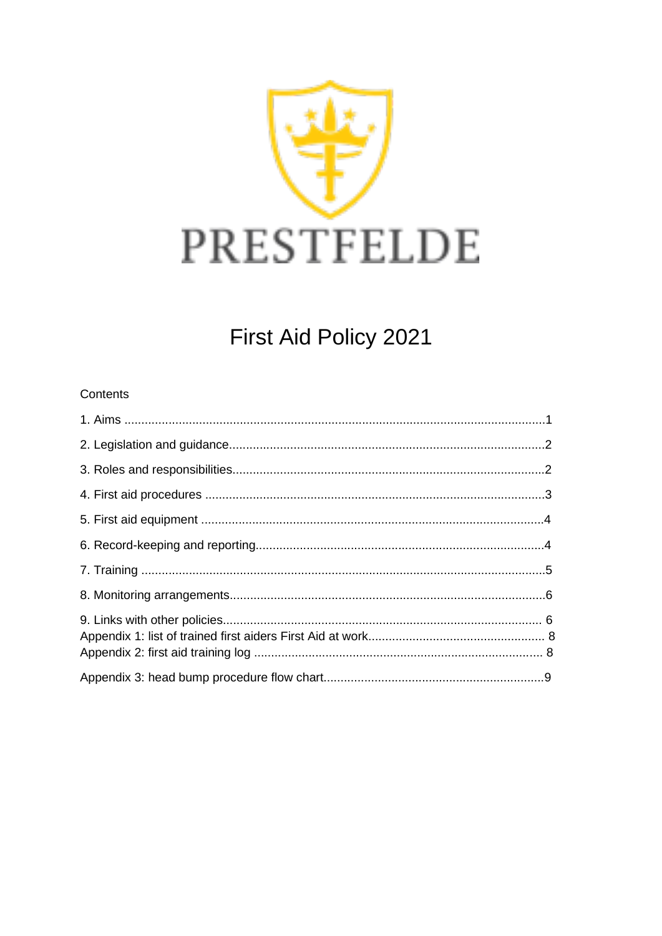

# First Aid Policy 2021

# Contents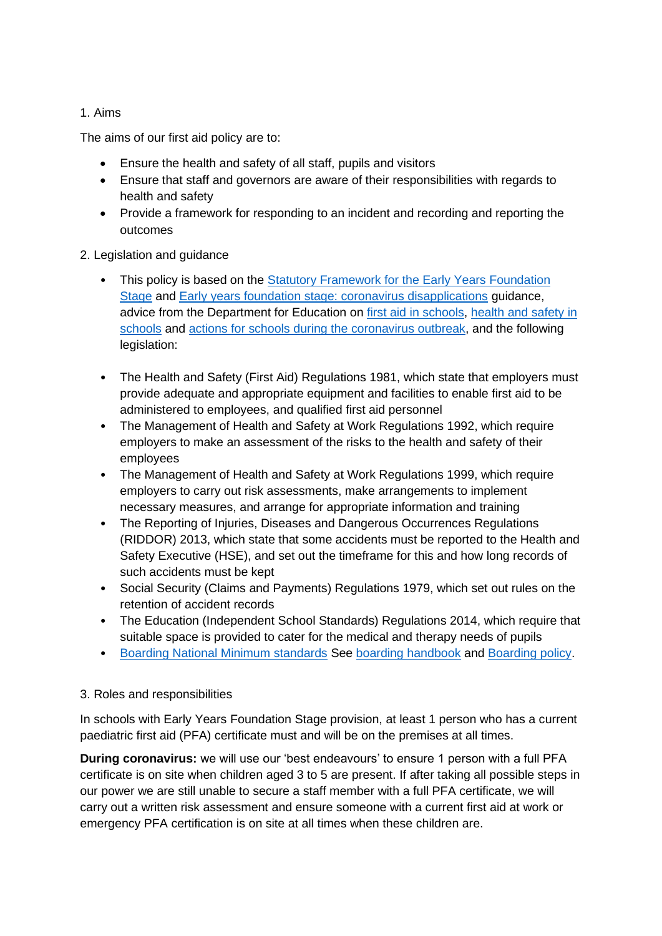# 1. Aims

The aims of our first aid policy are to:

- Ensure the health and safety of all staff, pupils and visitors
- Ensure that staff and governors are aware of their responsibilities with regards to health and safety
- Provide a framework for responding to an incident and recording and reporting the outcomes

# 2. Legislation and guidance

- This policy is based on the Statutory Framework for the Early Years Foundation [Stage](https://www.gov.uk/government/publications/early-years-foundation-stage-framework--2) and [Early years foundation stage: coronavirus disapplications](https://www.gov.uk/government/publications/early-years-foundation-stage-framework--2/early-years-foundation-stage-coronavirus-disapplications) guidance, advice from the Department for Education on [first aid in schools,](https://www.gov.uk/government/publications/first-aid-in-schools) [health and safety in](https://www.gov.uk/government/publications/health-and-safety-advice-for-schools)  [schools](https://www.gov.uk/government/publications/health-and-safety-advice-for-schools) and [actions for schools during the coronavirus outbreak,](https://www.gov.uk/government/publications/actions-for-schools-during-the-coronavirus-outbreak) and the following legislation:
- The Health and Safety (First Aid) Regulations 1981, which state that employers must provide adequate and appropriate equipment and facilities to enable first aid to be administered to employees, and qualified first aid personnel
- The Management of Health and Safety at Work Regulations 1992, which require employers to make an assessment of the risks to the health and safety of their employees
- The Management of Health and Safety at Work Regulations 1999, which require employers to carry out risk assessments, make arrangements to implement necessary measures, and arrange for appropriate information and training
- The Reporting of Injuries, Diseases and Dangerous Occurrences Regulations (RIDDOR) 2013, which state that some accidents must be reported to the Health and Safety Executive (HSE), and set out the timeframe for this and how long records of such accidents must be kept
- Social Security (Claims and Payments) Regulations 1979, which set out rules on the retention of accident records
- The Education (Independent School Standards) Regulations 2014, which require that suitable space is provided to cater for the medical and therapy needs of pupils
- [Boarding National Minimum standards](https://assets.publishing.service.gov.uk/government/uploads/system/uploads/attachment_data/file/416186/20150319_nms_bs_standards.pdf) See [boarding handbook](https://prestfeldeschool.sharepoint.com/:w:/r/sites/Team-policiesandforms/_layouts/15/Doc.aspx?sourcedoc=%7B9442CEE1-BC06-4B99-B956-22F8975FD357%7D&file=Boarding%20Handbook%202021-22%20(B2abc).docx&action=default&mobileredirect=true) and [Boarding policy.](https://prestfeldeschool.sharepoint.com/:w:/r/sites/Team-policiesandforms/_layouts/15/Doc.aspx?sourcedoc=%7B0D70150A-7D58-4CEA-9BDE-D908E46E1082%7D&file=BOARDING%20POLICY%202021-22%20(8a).docx&action=default&mobileredirect=true)

## 3. Roles and responsibilities

In schools with Early Years Foundation Stage provision, at least 1 person who has a current paediatric first aid (PFA) certificate must and will be on the premises at all times.

**During coronavirus:** we will use our 'best endeavours' to ensure 1 person with a full PFA certificate is on site when children aged 3 to 5 are present. If after taking all possible steps in our power we are still unable to secure a staff member with a full PFA certificate, we will carry out a written risk assessment and ensure someone with a current first aid at work or emergency PFA certification is on site at all times when these children are.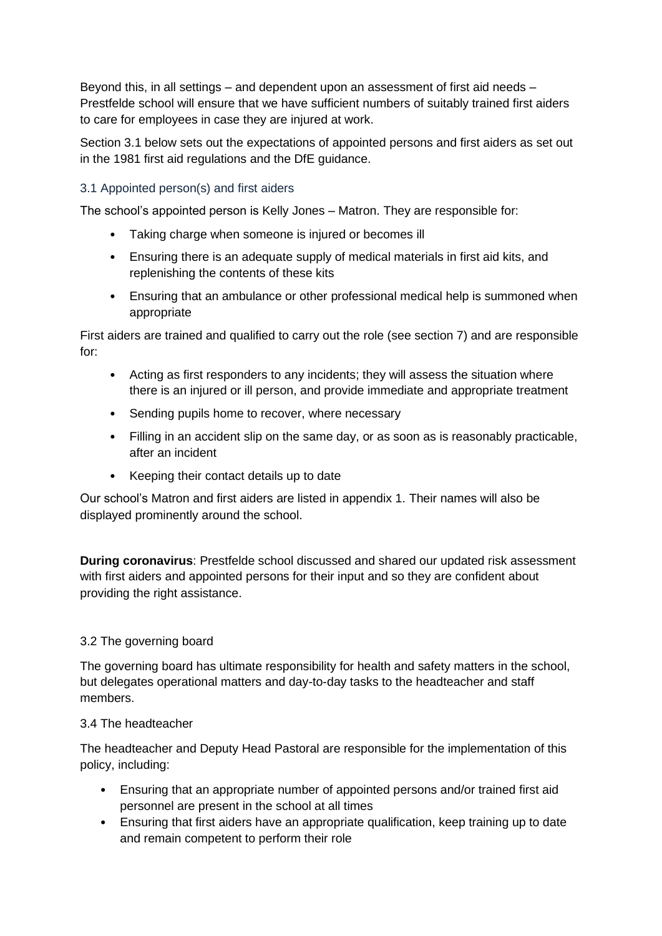Beyond this, in all settings – and dependent upon an assessment of first aid needs – Prestfelde school will ensure that we have sufficient numbers of suitably trained first aiders to care for employees in case they are injured at work.

Section 3.1 below sets out the expectations of appointed persons and first aiders as set out in the 1981 first aid regulations and the DfE guidance.

# 3.1 Appointed person(s) and first aiders

The school's appointed person is Kelly Jones – Matron. They are responsible for:

- Taking charge when someone is injured or becomes ill
- Ensuring there is an adequate supply of medical materials in first aid kits, and replenishing the contents of these kits
- Ensuring that an ambulance or other professional medical help is summoned when appropriate

First aiders are trained and qualified to carry out the role (see section 7) and are responsible for:

- Acting as first responders to any incidents; they will assess the situation where there is an injured or ill person, and provide immediate and appropriate treatment
- Sending pupils home to recover, where necessary
- Filling in an accident slip on the same day, or as soon as is reasonably practicable, after an incident
- Keeping their contact details up to date

Our school's Matron and first aiders are listed in appendix 1. Their names will also be displayed prominently around the school.

**During coronavirus**: Prestfelde school discussed and shared our updated risk assessment with first aiders and appointed persons for their input and so they are confident about providing the right assistance.

# 3.2 The governing board

The governing board has ultimate responsibility for health and safety matters in the school, but delegates operational matters and day-to-day tasks to the headteacher and staff members.

# 3.4 The headteacher

The headteacher and Deputy Head Pastoral are responsible for the implementation of this policy, including:

- Ensuring that an appropriate number of appointed persons and/or trained first aid personnel are present in the school at all times
- Ensuring that first aiders have an appropriate qualification, keep training up to date and remain competent to perform their role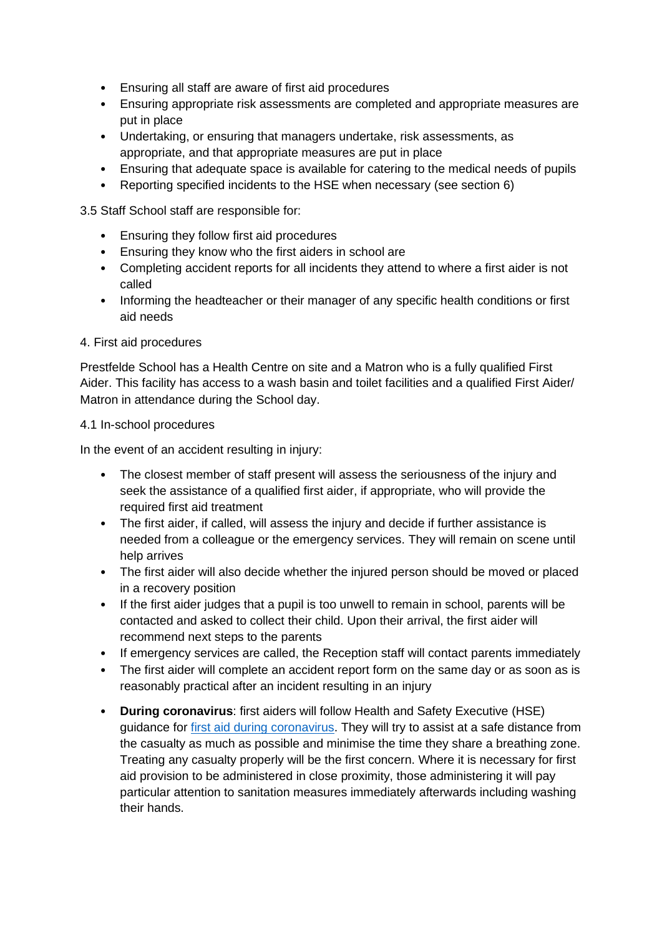- Ensuring all staff are aware of first aid procedures
- Ensuring appropriate risk assessments are completed and appropriate measures are put in place
- Undertaking, or ensuring that managers undertake, risk assessments, as appropriate, and that appropriate measures are put in place
- Ensuring that adequate space is available for catering to the medical needs of pupils
- Reporting specified incidents to the HSE when necessary (see section 6)

3.5 Staff School staff are responsible for:

- Ensuring they follow first aid procedures
- Ensuring they know who the first aiders in school are
- Completing accident reports for all incidents they attend to where a first aider is not called
- Informing the headteacher or their manager of any specific health conditions or first aid needs

#### 4. First aid procedures

Prestfelde School has a Health Centre on site and a Matron who is a fully qualified First Aider. This facility has access to a wash basin and toilet facilities and a qualified First Aider/ Matron in attendance during the School day.

#### 4.1 In-school procedures

In the event of an accident resulting in injury:

- The closest member of staff present will assess the seriousness of the injury and seek the assistance of a qualified first aider, if appropriate, who will provide the required first aid treatment
- The first aider, if called, will assess the injury and decide if further assistance is needed from a colleague or the emergency services. They will remain on scene until help arrives
- The first aider will also decide whether the injured person should be moved or placed in a recovery position
- If the first aider judges that a pupil is too unwell to remain in school, parents will be contacted and asked to collect their child. Upon their arrival, the first aider will recommend next steps to the parents
- If emergency services are called, the Reception staff will contact parents immediately
- The first aider will complete an accident report form on the same day or as soon as is reasonably practical after an incident resulting in an injury
- **During coronavirus**: first aiders will follow Health and Safety Executive (HSE) guidance for [first aid during coronavirus.](https://www.hse.gov.uk/coronavirus/first-aid-and-medicals/first-aid-certificate-coronavirus.htm) They will try to assist at a safe distance from the casualty as much as possible and minimise the time they share a breathing zone. Treating any casualty properly will be the first concern. Where it is necessary for first aid provision to be administered in close proximity, those administering it will pay particular attention to sanitation measures immediately afterwards including washing their hands.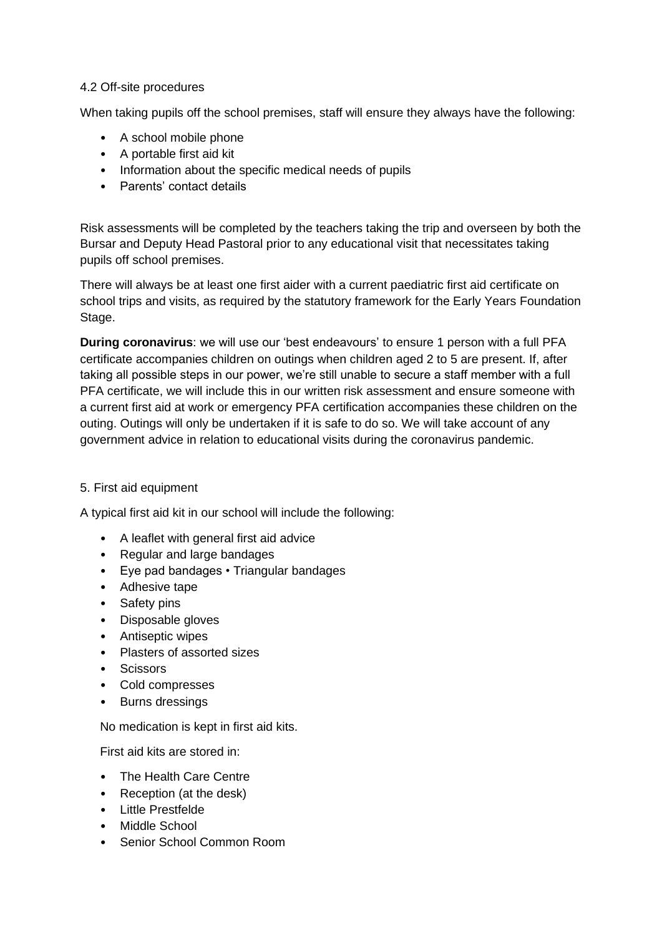## 4.2 Off-site procedures

When taking pupils off the school premises, staff will ensure they always have the following:

- A school mobile phone
- A portable first aid kit
- Information about the specific medical needs of pupils
- Parents' contact details

Risk assessments will be completed by the teachers taking the trip and overseen by both the Bursar and Deputy Head Pastoral prior to any educational visit that necessitates taking pupils off school premises.

There will always be at least one first aider with a current paediatric first aid certificate on school trips and visits, as required by the statutory framework for the Early Years Foundation Stage.

**During coronavirus**: we will use our 'best endeavours' to ensure 1 person with a full PFA certificate accompanies children on outings when children aged 2 to 5 are present. If, after taking all possible steps in our power, we're still unable to secure a staff member with a full PFA certificate, we will include this in our written risk assessment and ensure someone with a current first aid at work or emergency PFA certification accompanies these children on the outing. Outings will only be undertaken if it is safe to do so. We will take account of any government advice in relation to educational visits during the coronavirus pandemic.

## 5. First aid equipment

A typical first aid kit in our school will include the following:

- A leaflet with general first aid advice
- Regular and large bandages
- Eye pad bandages Triangular bandages
- Adhesive tape
- Safety pins
- Disposable gloves
- Antiseptic wipes
- Plasters of assorted sizes
- Scissors
- Cold compresses
- Burns dressings

No medication is kept in first aid kits.

First aid kits are stored in:

- The Health Care Centre
- Reception (at the desk)
- Little Prestfelde
- Middle School
- Senior School Common Room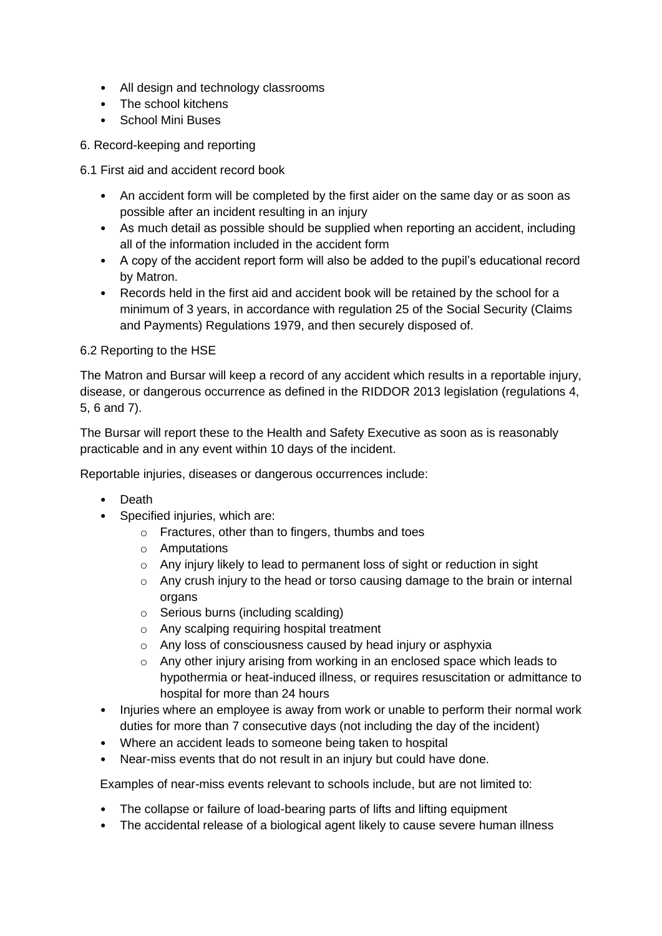- All design and technology classrooms
- The school kitchens
- School Mini Buses

6. Record-keeping and reporting

6.1 First aid and accident record book

- An accident form will be completed by the first aider on the same day or as soon as possible after an incident resulting in an injury
- As much detail as possible should be supplied when reporting an accident, including all of the information included in the accident form
- A copy of the accident report form will also be added to the pupil's educational record by Matron.
- Records held in the first aid and accident book will be retained by the school for a minimum of 3 years, in accordance with regulation 25 of the Social Security (Claims and Payments) Regulations 1979, and then securely disposed of.

# 6.2 Reporting to the HSE

The Matron and Bursar will keep a record of any accident which results in a reportable injury, disease, or dangerous occurrence as defined in the RIDDOR 2013 legislation (regulations 4, 5, 6 and 7).

The Bursar will report these to the Health and Safety Executive as soon as is reasonably practicable and in any event within 10 days of the incident.

Reportable injuries, diseases or dangerous occurrences include:

- Death
- Specified injuries, which are:
	- o Fractures, other than to fingers, thumbs and toes
	- o Amputations
	- o Any injury likely to lead to permanent loss of sight or reduction in sight
	- $\circ$  Any crush injury to the head or torso causing damage to the brain or internal organs
	- o Serious burns (including scalding)
	- o Any scalping requiring hospital treatment
	- o Any loss of consciousness caused by head injury or asphyxia
	- $\circ$  Any other injury arising from working in an enclosed space which leads to hypothermia or heat-induced illness, or requires resuscitation or admittance to hospital for more than 24 hours
- Injuries where an employee is away from work or unable to perform their normal work duties for more than 7 consecutive days (not including the day of the incident)
- Where an accident leads to someone being taken to hospital
- Near-miss events that do not result in an injury but could have done.

Examples of near-miss events relevant to schools include, but are not limited to:

- The collapse or failure of load-bearing parts of lifts and lifting equipment
- The accidental release of a biological agent likely to cause severe human illness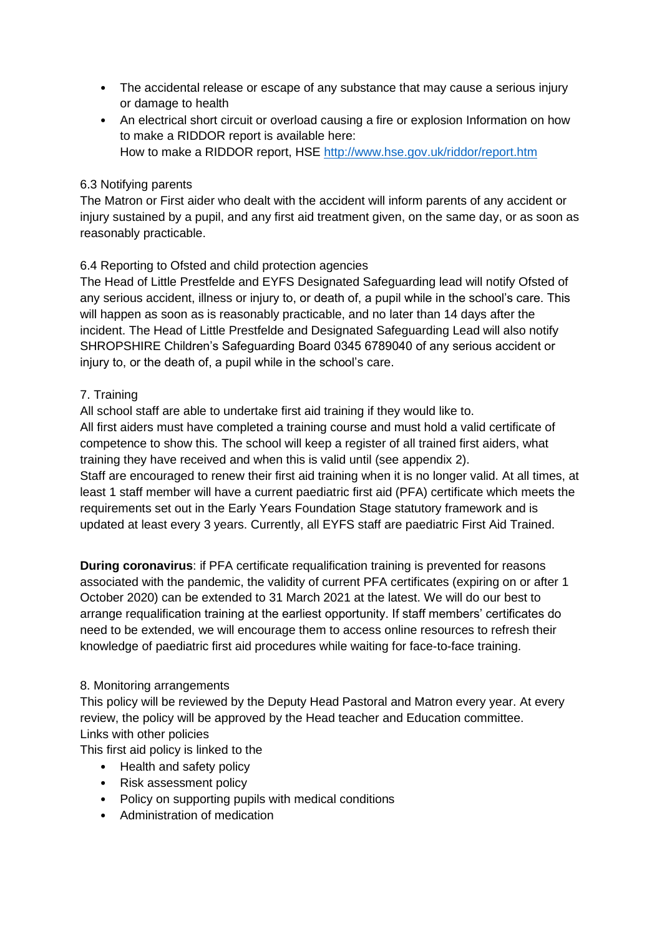- The accidental release or escape of any substance that may cause a serious injury or damage to health
- An electrical short circuit or overload causing a fire or explosion Information on how to make a RIDDOR report is available here: How to make a RIDDOR report, HSE<http://www.hse.gov.uk/riddor/report.htm>

# 6.3 Notifying parents

The Matron or First aider who dealt with the accident will inform parents of any accident or injury sustained by a pupil, and any first aid treatment given, on the same day, or as soon as reasonably practicable.

# 6.4 Reporting to Ofsted and child protection agencies

The Head of Little Prestfelde and EYFS Designated Safeguarding lead will notify Ofsted of any serious accident, illness or injury to, or death of, a pupil while in the school's care. This will happen as soon as is reasonably practicable, and no later than 14 days after the incident. The Head of Little Prestfelde and Designated Safeguarding Lead will also notify SHROPSHIRE Children's Safeguarding Board 0345 6789040 of any serious accident or injury to, or the death of, a pupil while in the school's care.

# 7. Training

All school staff are able to undertake first aid training if they would like to.

All first aiders must have completed a training course and must hold a valid certificate of competence to show this. The school will keep a register of all trained first aiders, what training they have received and when this is valid until (see appendix 2).

Staff are encouraged to renew their first aid training when it is no longer valid. At all times, at least 1 staff member will have a current paediatric first aid (PFA) certificate which meets the requirements set out in the Early Years Foundation Stage statutory framework and is updated at least every 3 years. Currently, all EYFS staff are paediatric First Aid Trained.

**During coronavirus:** if PFA certificate requalification training is prevented for reasons associated with the pandemic, the validity of current PFA certificates (expiring on or after 1 October 2020) can be extended to 31 March 2021 at the latest. We will do our best to arrange requalification training at the earliest opportunity. If staff members' certificates do need to be extended, we will encourage them to access online resources to refresh their knowledge of paediatric first aid procedures while waiting for face-to-face training.

## 8. Monitoring arrangements

This policy will be reviewed by the Deputy Head Pastoral and Matron every year. At every review, the policy will be approved by the Head teacher and Education committee. Links with other policies

This first aid policy is linked to the

- Health and safety policy
- Risk assessment policy
- Policy on supporting pupils with medical conditions
- Administration of medication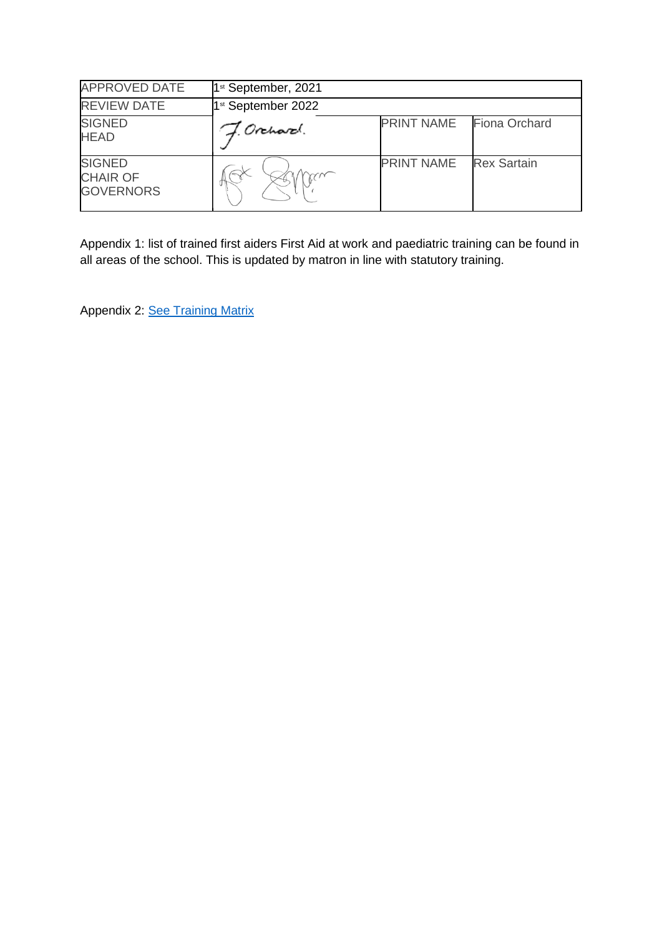| <b>APPROVED DATE</b>                                 | 1 <sup>st</sup> September, 2021 |                   |                    |
|------------------------------------------------------|---------------------------------|-------------------|--------------------|
| <b>REVIEW DATE</b>                                   | 1 <sup>st</sup> September 2022  |                   |                    |
| <b>SIGNED</b><br><b>HEAD</b>                         | J. Orchard.                     | <b>PRINT NAME</b> | Fiona Orchard      |
| <b>SIGNED</b><br><b>CHAIR OF</b><br><b>GOVERNORS</b> |                                 | <b>PRINT NAME</b> | <b>Rex Sartain</b> |

Appendix 1: list of trained first aiders First Aid at work and paediatric training can be found in all areas of the school. This is updated by matron in line with statutory training.

Appendix 2: [See Training Matrix](https://prestfeldeschool.sharepoint.com/:x:/r/sites/Team-training/_layouts/15/Doc.aspx?sourcedoc=%7B95E57BCF-9A10-4E81-8B85-19E9867F8335%7D&file=WHOLE%20SCHOOL%20TRAINING%20MATRIX%20-%20Copy.xlsx&action=default&mobileredirect=true)